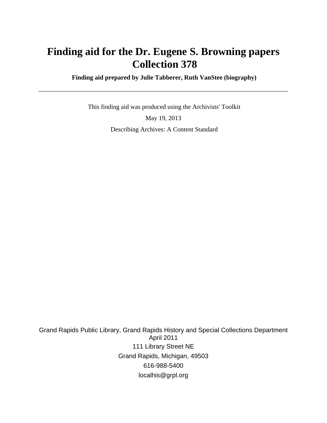# **Finding aid for the Dr. Eugene S. Browning papers Collection 378**

 **Finding aid prepared by Julie Tabberer, Ruth VanStee (biography)**

 This finding aid was produced using the Archivists' Toolkit May 19, 2013 Describing Archives: A Content Standard

Grand Rapids Public Library, Grand Rapids History and Special Collections Department April 2011 111 Library Street NE Grand Rapids, Michigan, 49503 616-988-5400 localhis@grpl.org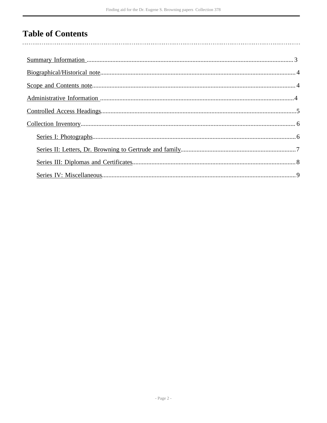## **Table of Contents**

 $\overline{\phantom{a}}$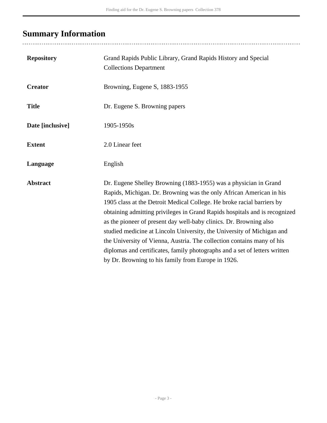# <span id="page-2-0"></span>**Summary Information**

| <b>Repository</b> | Grand Rapids Public Library, Grand Rapids History and Special<br><b>Collections Department</b>                                                                                                                                                                                                                                                                                                                                                                                                                                                                                                                                                                |
|-------------------|---------------------------------------------------------------------------------------------------------------------------------------------------------------------------------------------------------------------------------------------------------------------------------------------------------------------------------------------------------------------------------------------------------------------------------------------------------------------------------------------------------------------------------------------------------------------------------------------------------------------------------------------------------------|
| <b>Creator</b>    | Browning, Eugene S, 1883-1955                                                                                                                                                                                                                                                                                                                                                                                                                                                                                                                                                                                                                                 |
| <b>Title</b>      | Dr. Eugene S. Browning papers                                                                                                                                                                                                                                                                                                                                                                                                                                                                                                                                                                                                                                 |
| Date [inclusive]  | 1905-1950s                                                                                                                                                                                                                                                                                                                                                                                                                                                                                                                                                                                                                                                    |
| <b>Extent</b>     | 2.0 Linear feet                                                                                                                                                                                                                                                                                                                                                                                                                                                                                                                                                                                                                                               |
| Language          | English                                                                                                                                                                                                                                                                                                                                                                                                                                                                                                                                                                                                                                                       |
| <b>Abstract</b>   | Dr. Eugene Shelley Browning (1883-1955) was a physician in Grand<br>Rapids, Michigan. Dr. Browning was the only African American in his<br>1905 class at the Detroit Medical College. He broke racial barriers by<br>obtaining admitting privileges in Grand Rapids hospitals and is recognized<br>as the pioneer of present day well-baby clinics. Dr. Browning also<br>studied medicine at Lincoln University, the University of Michigan and<br>the University of Vienna, Austria. The collection contains many of his<br>diplomas and certificates, family photographs and a set of letters written<br>by Dr. Browning to his family from Europe in 1926. |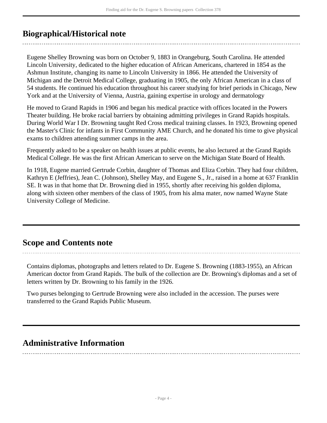## <span id="page-3-0"></span>**Biographical/Historical note**

Eugene Shelley Browning was born on October 9, 1883 in Orangeburg, South Carolina. He attended Lincoln University, dedicated to the higher education of African Americans, chartered in 1854 as the Ashmun Institute, changing its name to Lincoln University in 1866. He attended the University of Michigan and the Detroit Medical College, graduating in 1905, the only African American in a class of 54 students. He continued his education throughout his career studying for brief periods in Chicago, New York and at the University of Vienna, Austria, gaining expertise in urology and dermatology

He moved to Grand Rapids in 1906 and began his medical practice with offices located in the Powers Theater building. He broke racial barriers by obtaining admitting privileges in Grand Rapids hospitals. During World War I Dr. Browning taught Red Cross medical training classes. In 1923, Browning opened the Master's Clinic for infants in First Community AME Church, and he donated his time to give physical exams to children attending summer camps in the area.

Frequently asked to be a speaker on health issues at public events, he also lectured at the Grand Rapids Medical College. He was the first African American to serve on the Michigan State Board of Health.

In 1918, Eugene married Gertrude Corbin, daughter of Thomas and Eliza Corbin. They had four children, Kathryn E (Jeffries), Jean C. (Johnson), Shelley May, and Eugene S., Jr., raised in a home at 637 Franklin SE. It was in that home that Dr. Browning died in 1955, shortly after receiving his golden diploma, along with sixteen other members of the class of 1905, from his alma mater, now named Wayne State University College of Medicine.

### <span id="page-3-1"></span>**Scope and Contents note**

Contains diplomas, photographs and letters related to Dr. Eugene S. Browning (1883-1955), an African American doctor from Grand Rapids. The bulk of the collection are Dr. Browning's diplomas and a set of letters written by Dr. Browning to his family in the 1926.

Two purses belonging to Gertrude Browning were also included in the accession. The purses were transferred to the Grand Rapids Public Museum.

### <span id="page-3-2"></span>**Administrative Information**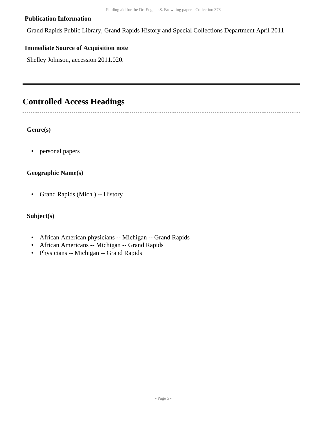#### **Publication Information**

Grand Rapids Public Library, Grand Rapids History and Special Collections Department April 2011

#### **Immediate Source of Acquisition note**

Shelley Johnson, accession 2011.020.

### <span id="page-4-0"></span>**Controlled Access Headings**

#### **Genre(s)**

• personal papers

#### **Geographic Name(s)**

• Grand Rapids (Mich.) -- History

#### **Subject(s)**

- African American physicians -- Michigan -- Grand Rapids
- African Americans -- Michigan -- Grand Rapids
- Physicians -- Michigan -- Grand Rapids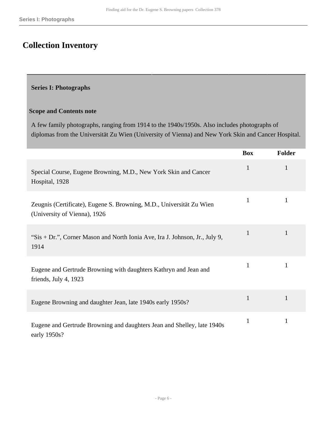## <span id="page-5-0"></span>**Collection Inventory**

### <span id="page-5-1"></span>**Series I: Photographs**

#### **Scope and Contents note**

A few family photographs, ranging from 1914 to the 1940s/1950s. Also includes photographs of diplomas from the Universität Zu Wien (University of Vienna) and New York Skin and Cancer Hospital.

|                                                                                                      | <b>Box</b>   | <b>Folder</b> |
|------------------------------------------------------------------------------------------------------|--------------|---------------|
| Special Course, Eugene Browning, M.D., New York Skin and Cancer<br>Hospital, 1928                    | $\mathbf{1}$ | 1             |
| Zeugnis (Certificate), Eugene S. Browning, M.D., Universität Zu Wien<br>(University of Vienna), 1926 | 1            | 1             |
| "Sis + Dr.", Corner Mason and North Ionia Ave, Ira J. Johnson, Jr., July 9,<br>1914                  | $\mathbf{1}$ | 1             |
| Eugene and Gertrude Browning with daughters Kathryn and Jean and<br>friends, July 4, 1923            | $\mathbf{1}$ | 1             |
| Eugene Browning and daughter Jean, late 1940s early 1950s?                                           | $\mathbf{1}$ | 1             |
| Eugene and Gertrude Browning and daughters Jean and Shelley, late 1940s<br>early 1950s?              | $\mathbf{1}$ | $\mathbf{1}$  |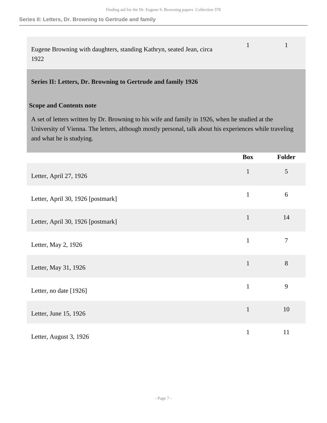**Series II: Letters, Dr. Browning to Gertrude and family**

| Eugene Browning with daughters, standing Kathryn, seated Jean, circa |  |
|----------------------------------------------------------------------|--|
| 1922                                                                 |  |

#### <span id="page-6-0"></span>**Series II: Letters, Dr. Browning to Gertrude and family 1926**

#### **Scope and Contents note**

A set of letters written by Dr. Browning to his wife and family in 1926, when he studied at the University of Vienna. The letters, although mostly personal, talk about his experiences while traveling and what he is studying.

|                                   | <b>Box</b>   | <b>Folder</b>  |
|-----------------------------------|--------------|----------------|
| Letter, April 27, 1926            | $\mathbf{1}$ | $\mathfrak{S}$ |
| Letter, April 30, 1926 [postmark] | $\mathbf{1}$ | 6              |
| Letter, April 30, 1926 [postmark] | $\mathbf{1}$ | 14             |
| Letter, May 2, 1926               | $\mathbf{1}$ | $\overline{7}$ |
| Letter, May 31, 1926              | $\mathbf{1}$ | $8\,$          |
| Letter, no date [1926]            | $\mathbf{1}$ | 9              |
| Letter, June 15, 1926             | $\mathbf{1}$ | 10             |
| Letter, August 3, 1926            | $\mathbf{1}$ | 11             |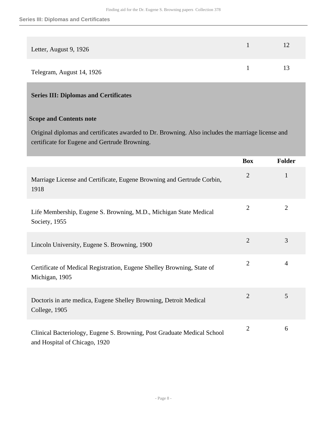| Letter, August 9, 1926    |    |
|---------------------------|----|
| Telegram, August 14, 1926 | 13 |

### <span id="page-7-0"></span>**Series III: Diplomas and Certificates**

#### **Scope and Contents note**

Original diplomas and certificates awarded to Dr. Browning. Also includes the marriage license and certificate for Eugene and Gertrude Browning.

|                                                                                                          | <b>Box</b>     | <b>Folder</b>  |
|----------------------------------------------------------------------------------------------------------|----------------|----------------|
| Marriage License and Certificate, Eugene Browning and Gertrude Corbin,<br>1918                           | $\overline{2}$ | 1              |
| Life Membership, Eugene S. Browning, M.D., Michigan State Medical<br>Society, 1955                       | $\overline{2}$ | $\overline{2}$ |
| Lincoln University, Eugene S. Browning, 1900                                                             | $\overline{2}$ | 3              |
| Certificate of Medical Registration, Eugene Shelley Browning, State of<br>Michigan, 1905                 | $\overline{2}$ | $\overline{4}$ |
| Doctoris in arte medica, Eugene Shelley Browning, Detroit Medical<br>College, 1905                       | $\overline{2}$ | 5              |
| Clinical Bacteriology, Eugene S. Browning, Post Graduate Medical School<br>and Hospital of Chicago, 1920 | $\overline{2}$ | 6              |